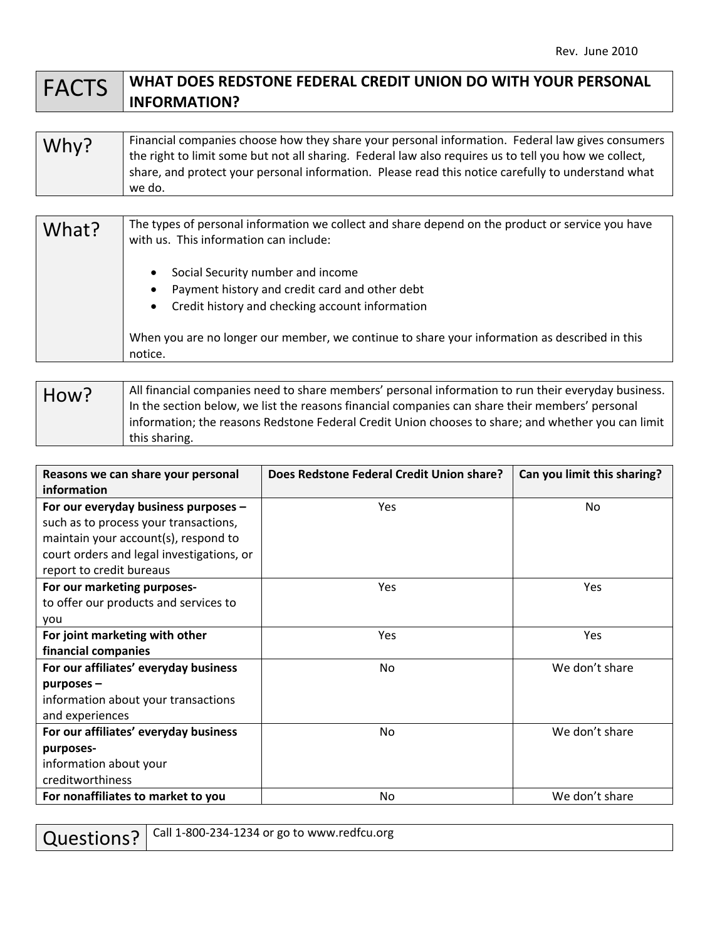## FACTS **WHAT DOES REDSTONE FEDERAL CREDIT UNION DO WITH YOUR PERSONAL INFORMATION?**

| Why? | Financial companies choose how they share your personal information. Federal law gives consumers      |
|------|-------------------------------------------------------------------------------------------------------|
|      | the right to limit some but not all sharing. Federal law also requires us to tell you how we collect, |
|      | share, and protect your personal information. Please read this notice carefully to understand what    |
|      | we do.                                                                                                |

| What? | The types of personal information we collect and share depend on the product or service you have<br>with us. This information can include:                                                                                                                        |
|-------|-------------------------------------------------------------------------------------------------------------------------------------------------------------------------------------------------------------------------------------------------------------------|
|       | Social Security number and income<br>Payment history and credit card and other debt<br>$\bullet$<br>Credit history and checking account information<br>$\bullet$<br>When you are no longer our member, we continue to share your information as described in this |
|       | notice.                                                                                                                                                                                                                                                           |

| How? | All financial companies need to share members' personal information to run their everyday business.<br>In the section below, we list the reasons financial companies can share their members' personal |
|------|--------------------------------------------------------------------------------------------------------------------------------------------------------------------------------------------------------|
|      | Information; the reasons Redstone Federal Credit Union chooses to share; and whether you can limit                                                                                                     |
|      | this sharing.                                                                                                                                                                                          |

| Reasons we can share your personal<br>information | Does Redstone Federal Credit Union share? | Can you limit this sharing? |
|---------------------------------------------------|-------------------------------------------|-----------------------------|
| For our everyday business purposes -              | <b>Yes</b>                                | No.                         |
| such as to process your transactions,             |                                           |                             |
| maintain your account(s), respond to              |                                           |                             |
| court orders and legal investigations, or         |                                           |                             |
| report to credit bureaus                          |                                           |                             |
| For our marketing purposes-                       | <b>Yes</b>                                | Yes                         |
| to offer our products and services to             |                                           |                             |
| you                                               |                                           |                             |
| For joint marketing with other                    | <b>Yes</b>                                | Yes                         |
| financial companies                               |                                           |                             |
| For our affiliates' everyday business             | No                                        | We don't share              |
| $p$ urposes –                                     |                                           |                             |
| information about your transactions               |                                           |                             |
| and experiences                                   |                                           |                             |
| For our affiliates' everyday business             | No                                        | We don't share              |
| purposes-                                         |                                           |                             |
| information about your                            |                                           |                             |
| creditworthiness                                  |                                           |                             |
| For nonaffiliates to market to you                | <b>No</b>                                 | We don't share              |

| Questions?   Call 1-800-234-1234 or go to www.redfcu.org |  |
|----------------------------------------------------------|--|
|----------------------------------------------------------|--|